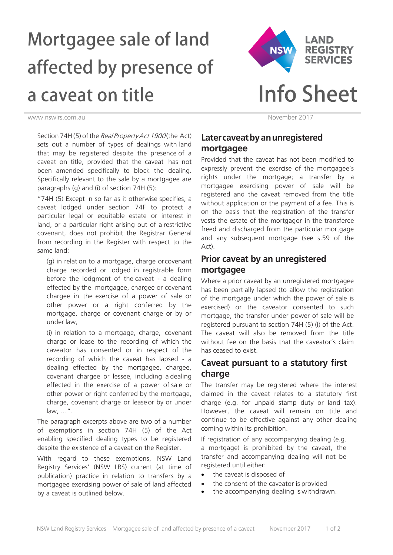# Mortgagee sale of land affected by presence of a caveat on title



www.nswlrs.com.au November 2017

Section 74H (5) of the Real Property Act 1900 (the Act) sets out a number of types of dealings with land that may be registered despite the presence of a caveat on title, provided that the caveat has not been amended specifically to block the dealing. Specifically relevant to the sale by a mortgagee are paragraphs (g) and (i) of section 74H (5):

"74H (5) Except in so far as it otherwise specifies, a caveat lodged under section 74F to protect a particular legal or equitable estate or interest in land, or a particular right arising out of a restrictive covenant, does not prohibit the Registrar General from recording in the Register with respect to the same land:

(g) in relation to a mortgage, charge or covenant charge recorded or lodged in registrable form before the lodgment of the caveat - a dealing effected by the mortgagee, chargee or covenant chargee in the exercise of a power of sale or other power or a right conferred by the mortgage, charge or covenant charge or by or under law,

(i) in relation to a mortgage, charge, covenant charge or lease to the recording of which the caveator has consented or in respect of the recording of which the caveat has lapsed - a dealing effected by the mortgagee, chargee, covenant chargee or lessee, including a dealing effected in the exercise of a power of sale or other power or right conferred by the mortgage, charge, covenant charge or lease or by or under law, …".

The paragraph excerpts above are two of a number of exemptions in section 74H (5) of the Act enabling specified dealing types to be registered despite the existence of a caveat on the Register.

With regard to these exemptions, NSW Land Registry Services' (NSW LRS) current (at time of publication) practice in relation to transfers by a mortgagee exercising power of sale of land affected by a caveat is outlined below.

## **Later caveat byan unregistered mortgagee**

Provided that the caveat has not been modified to expressly prevent the exercise of the mortgagee's rights under the mortgage; a transfer by a mortgagee exercising power of sale will be registered and the caveat removed from the title without application or the payment of a fee. This is on the basis that the registration of the transfer vests the estate of the mortgagor in the transferee freed and discharged from the particular mortgage and any subsequent mortgage (see s.59 of the Act).

## **Prior caveat by an unregistered mortgagee**

Where a prior caveat by an unregistered mortgagee has been partially lapsed (to allow the registration of the mortgage under which the power of sale is exercised) or the caveator consented to such mortgage, the transfer under power of sale will be registered pursuant to section 74H (5) (i) of the Act. The caveat will also be removed from the title without fee on the basis that the caveator's claim has ceased to exist.

## **Caveat pursuant to a statutory first charge**

The transfer may be registered where the interest claimed in the caveat relates to a statutory first charge (e.g. for unpaid stamp duty or land tax). However, the caveat will remain on title and continue to be effective against any other dealing coming within its prohibition.

If registration of any accompanying dealing (e.g. a mortgage) is prohibited by the caveat, the transfer and accompanying dealing will not be registered until either:

- the caveat is disposed of
- the consent of the caveator is provided
- the accompanying dealing is withdrawn.